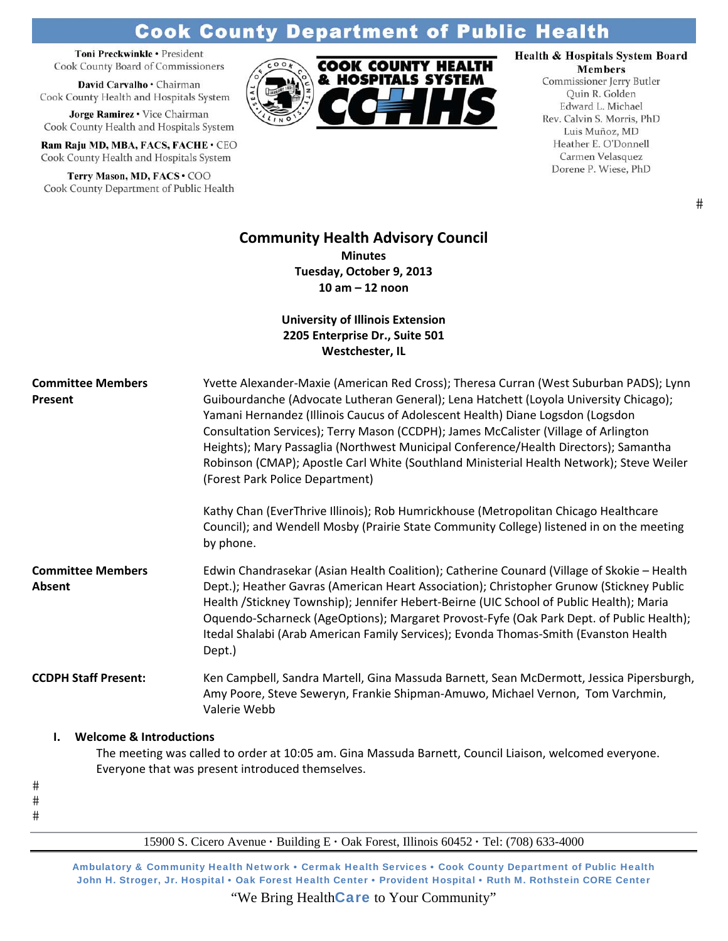# **Cook County Department of Public Health**

Toni Preckwinkle · President Cook County Board of Commissioners

David Carvalho · Chairman Cook County Health and Hospitals System

Jorge Ramirez . Vice Chairman Cook County Health and Hospitals System

Ram Raju MD, MBA, FACS, FACHE · CEO Cook County Health and Hospitals System

Terry Mason, MD, FACS · COO Cook County Department of Public Health



# Health & Hospitals System Board

**Members** Commissioner Jerry Butler Quin R. Golden Edward L. Michael Rev. Calvin S. Morris, PhD Luis Muñoz, MD Heather E. O'Donnell Carmen Velasquez Dorene P. Wiese, PhD

# **Community Health Advisory Council**

**Minutes Tuesday, October 9, 2013 10 am – 12 noon**

**University of Illinois Extension 2205 Enterprise Dr., Suite 501 Westchester, IL**

| <b>Committee Members</b><br>Present      | Yvette Alexander-Maxie (American Red Cross); Theresa Curran (West Suburban PADS); Lynn<br>Guibourdanche (Advocate Lutheran General); Lena Hatchett (Loyola University Chicago);<br>Yamani Hernandez (Illinois Caucus of Adolescent Health) Diane Logsdon (Logsdon<br>Consultation Services); Terry Mason (CCDPH); James McCalister (Village of Arlington<br>Heights); Mary Passaglia (Northwest Municipal Conference/Health Directors); Samantha<br>Robinson (CMAP); Apostle Carl White (Southland Ministerial Health Network); Steve Weiler<br>(Forest Park Police Department)<br>Kathy Chan (EverThrive Illinois); Rob Humrickhouse (Metropolitan Chicago Healthcare |
|------------------------------------------|------------------------------------------------------------------------------------------------------------------------------------------------------------------------------------------------------------------------------------------------------------------------------------------------------------------------------------------------------------------------------------------------------------------------------------------------------------------------------------------------------------------------------------------------------------------------------------------------------------------------------------------------------------------------|
|                                          | Council); and Wendell Mosby (Prairie State Community College) listened in on the meeting<br>by phone.                                                                                                                                                                                                                                                                                                                                                                                                                                                                                                                                                                  |
| <b>Committee Members</b><br>Absent       | Edwin Chandrasekar (Asian Health Coalition); Catherine Counard (Village of Skokie - Health<br>Dept.); Heather Gavras (American Heart Association); Christopher Grunow (Stickney Public<br>Health /Stickney Township); Jennifer Hebert-Beirne (UIC School of Public Health); Maria<br>Oquendo-Scharneck (AgeOptions); Margaret Provost-Fyfe (Oak Park Dept. of Public Health);<br>Itedal Shalabi (Arab American Family Services); Evonda Thomas-Smith (Evanston Health<br>Dept.)                                                                                                                                                                                        |
| <b>CCDPH Staff Present:</b>              | Ken Campbell, Sandra Martell, Gina Massuda Barnett, Sean McDermott, Jessica Pipersburgh,<br>Amy Poore, Steve Seweryn, Frankie Shipman-Amuwo, Michael Vernon, Tom Varchmin,<br>Valerie Webb                                                                                                                                                                                                                                                                                                                                                                                                                                                                             |
| <b>Welcome &amp; Introductions</b><br>L. |                                                                                                                                                                                                                                                                                                                                                                                                                                                                                                                                                                                                                                                                        |
| $\#$                                     | The meeting was called to order at 10:05 am. Gina Massuda Barnett, Council Liaison, welcomed everyone.<br>Everyone that was present introduced themselves.                                                                                                                                                                                                                                                                                                                                                                                                                                                                                                             |
| #                                        |                                                                                                                                                                                                                                                                                                                                                                                                                                                                                                                                                                                                                                                                        |

 $#$ 

15900 S. Cicero Avenue **·** Building E **·** Oak Forest, Illinois 60452 **·** Tel: (708) 633-4000

Ambulatory & Community Health Network • Cermak Health Services • Cook County Department of Public Health John H. Stroger, Jr. Hospital • Oak Forest Health Center • Provident Hospital • Ruth M. Rothstein CORE Center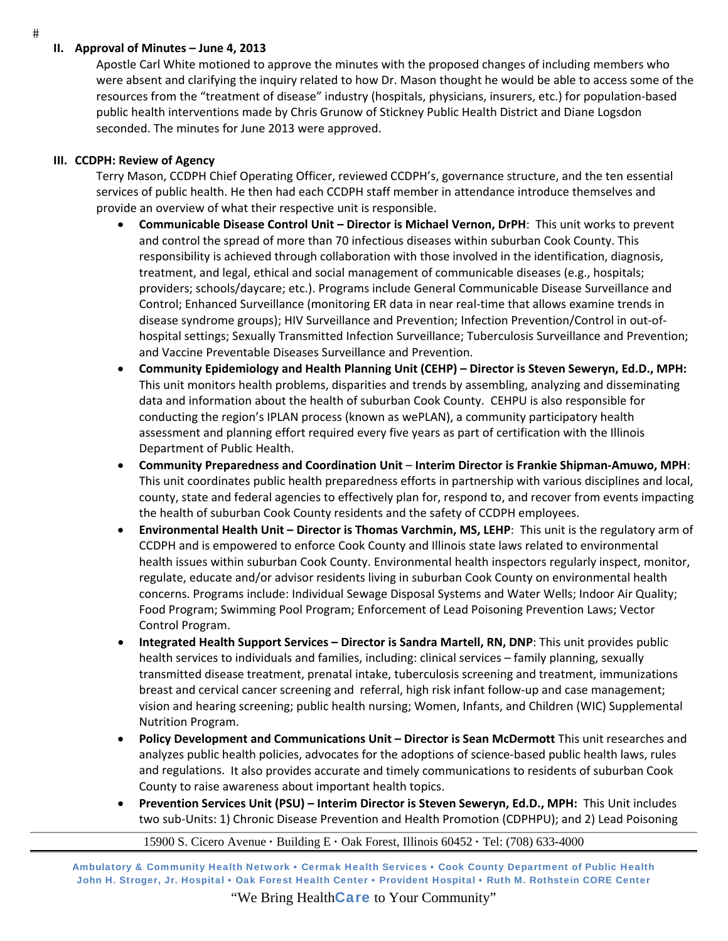## **II. Approval of Minutes – June 4, 2013**

Apostle Carl White motioned to approve the minutes with the proposed changes of including members who were absent and clarifying the inquiry related to how Dr. Mason thought he would be able to access some of the resources from the "treatment of disease" industry (hospitals, physicians, insurers, etc.) for population‐based public health interventions made by Chris Grunow of Stickney Public Health District and Diane Logsdon seconded. The minutes for June 2013 were approved.

## **III. CCDPH: Review of Agency**

Terry Mason, CCDPH Chief Operating Officer, reviewed CCDPH's, governance structure, and the ten essential services of public health. He then had each CCDPH staff member in attendance introduce themselves and provide an overview of what their respective unit is responsible.

- **Communicable Disease Control Unit – Director is Michael Vernon, DrPH**: This unit works to prevent and control the spread of more than 70 infectious diseases within suburban Cook County. This responsibility is achieved through collaboration with those involved in the identification, diagnosis, treatment, and legal, ethical and social management of communicable diseases (e.g., hospitals; providers; schools/daycare; etc.). Programs include General Communicable Disease Surveillance and Control; Enhanced Surveillance (monitoring ER data in near real‐time that allows examine trends in disease syndrome groups); HIV Surveillance and Prevention; Infection Prevention/Control in out‐of‐ hospital settings; Sexually Transmitted Infection Surveillance; Tuberculosis Surveillance and Prevention; and Vaccine Preventable Diseases Surveillance and Prevention.
- **Community Epidemiology and Health Planning Unit (CEHP) – Director is Steven Seweryn, Ed.D., MPH:** This unit monitors health problems, disparities and trends by assembling, analyzing and disseminating data and information about the health of suburban Cook County.CEHPU is also responsible for conducting the region's IPLAN process (known as wePLAN), a community participatory health assessment and planning effort required every five years as part of certification with the Illinois Department of Public Health.
- **Community Preparedness and Coordination Unit Interim Director is Frankie Shipman‐Amuwo, MPH**: This unit coordinates public health preparedness efforts in partnership with various disciplines and local, county, state and federal agencies to effectively plan for, respond to, and recover from events impacting the health of suburban Cook County residents and the safety of CCDPH employees.
- **Environmental Health Unit – Director is Thomas Varchmin, MS, LEHP**: This unit is the regulatory arm of CCDPH and is empowered to enforce Cook County and Illinois state laws related to environmental health issues within suburban Cook County. Environmental health inspectors regularly inspect, monitor, regulate, educate and/or advisor residents living in suburban Cook County on environmental health concerns. Programs include: Individual Sewage Disposal Systems and Water Wells; Indoor Air Quality; Food Program; Swimming Pool Program; Enforcement of Lead Poisoning Prevention Laws; Vector Control Program.
- **Integrated Health Support Services – Director is Sandra Martell, RN, DNP**: This unit provides public health services to individuals and families, including: clinical services – family planning, sexually transmitted disease treatment, prenatal intake, tuberculosis screening and treatment, immunizations breast and cervical cancer screening and referral, high risk infant follow-up and case management; vision and hearing screening; public health nursing; Women, Infants, and Children (WIC) Supplemental Nutrition Program.
- **Policy Development and Communications Unit – Director is Sean McDermott** This unit researches and analyzes public health policies, advocates for the adoptions of science‐based public health laws, rules and regulations. It also provides accurate and timely communications to residents of suburban Cook County to raise awareness about important health topics.
- **Prevention Services Unit (PSU) – Interim Director is Steven Seweryn, Ed.D., MPH:** This Unit includes two sub‐Units: 1) Chronic Disease Prevention and Health Promotion (CDPHPU); and 2) Lead Poisoning

15900 S. Cicero Avenue **·** Building E **·** Oak Forest, Illinois 60452 **·** Tel: (708) 633-4000

Ambulatory & Community Health Network • Cermak Health Services • Cook County Department of Public Health John H. Stroger, Jr. Hospital • Oak Forest Health Center • Provident Hospital • Ruth M. Rothstein CORE Center

"We Bring Health**Care** to Your Community"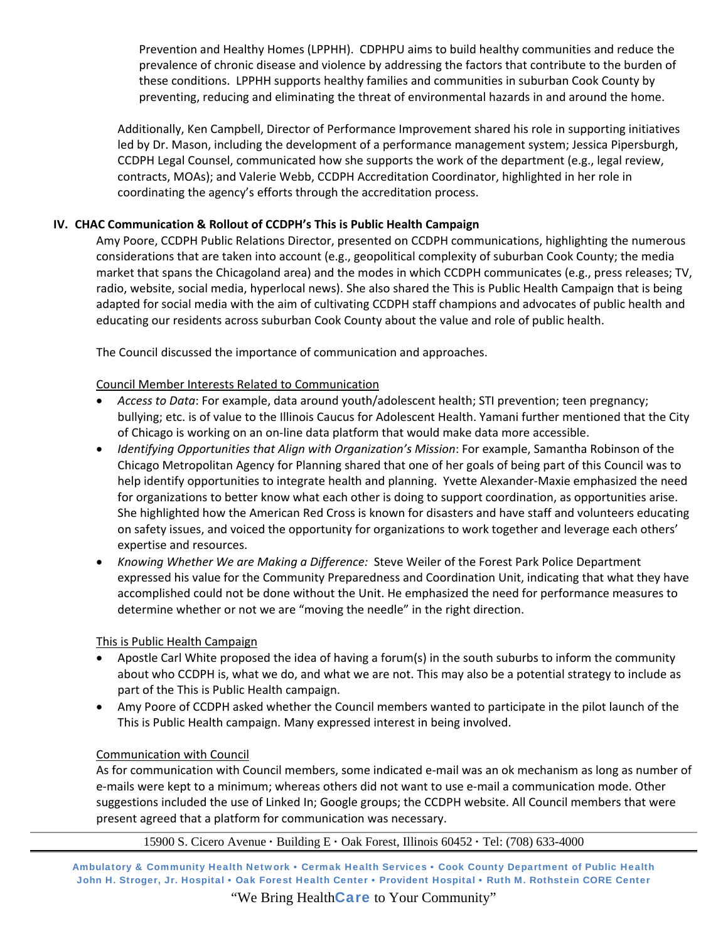Prevention and Healthy Homes (LPPHH). CDPHPU aims to build healthy communities and reduce the prevalence of chronic disease and violence by addressing the factors that contribute to the burden of these conditions. LPPHH supports healthy families and communities in suburban Cook County by preventing, reducing and eliminating the threat of environmental hazards in and around the home.

Additionally, Ken Campbell, Director of Performance Improvement shared his role in supporting initiatives led by Dr. Mason, including the development of a performance management system; Jessica Pipersburgh, CCDPH Legal Counsel, communicated how she supports the work of the department (e.g., legal review, contracts, MOAs); and Valerie Webb, CCDPH Accreditation Coordinator, highlighted in her role in coordinating the agency's efforts through the accreditation process.

### **IV. CHAC Communication & Rollout of CCDPH's This is Public Health Campaign**

Amy Poore, CCDPH Public Relations Director, presented on CCDPH communications, highlighting the numerous considerations that are taken into account (e.g., geopolitical complexity of suburban Cook County; the media market that spans the Chicagoland area) and the modes in which CCDPH communicates (e.g., press releases; TV, radio, website, social media, hyperlocal news). She also shared the This is Public Health Campaign that is being adapted for social media with the aim of cultivating CCDPH staff champions and advocates of public health and educating our residents across suburban Cook County about the value and role of public health.

The Council discussed the importance of communication and approaches.

#### Council Member Interests Related to Communication

- *Access to Data*: For example, data around youth/adolescent health; STI prevention; teen pregnancy; bullying; etc. is of value to the Illinois Caucus for Adolescent Health. Yamani further mentioned that the City of Chicago is working on an on‐line data platform that would make data more accessible.
- *Identifying Opportunities that Align with Organization's Mission*: For example, Samantha Robinson of the Chicago Metropolitan Agency for Planning shared that one of her goals of being part of this Council was to help identify opportunities to integrate health and planning. Yvette Alexander‐Maxie emphasized the need for organizations to better know what each other is doing to support coordination, as opportunities arise. She highlighted how the American Red Cross is known for disasters and have staff and volunteers educating on safety issues, and voiced the opportunity for organizations to work together and leverage each others' expertise and resources.
- *Knowing Whether We are Making a Difference:* Steve Weiler of the Forest Park Police Department expressed his value for the Community Preparedness and Coordination Unit, indicating that what they have accomplished could not be done without the Unit. He emphasized the need for performance measures to determine whether or not we are "moving the needle" in the right direction.

#### This is Public Health Campaign

- Apostle Carl White proposed the idea of having a forum(s) in the south suburbs to inform the community about who CCDPH is, what we do, and what we are not. This may also be a potential strategy to include as part of the This is Public Health campaign.
- Amy Poore of CCDPH asked whether the Council members wanted to participate in the pilot launch of the This is Public Health campaign. Many expressed interest in being involved.

#### Communication with Council

As for communication with Council members, some indicated e‐mail was an ok mechanism as long as number of e‐mails were kept to a minimum; whereas others did not want to use e‐mail a communication mode. Other suggestions included the use of Linked In; Google groups; the CCDPH website. All Council members that were present agreed that a platform for communication was necessary.

15900 S. Cicero Avenue **·** Building E **·** Oak Forest, Illinois 60452 **·** Tel: (708) 633-4000

Ambulatory & Community Health Network • Cermak Health Services • Cook County Department of Public Health John H. Stroger, Jr. Hospital • Oak Forest Health Center • Provident Hospital • Ruth M. Rothstein CORE Center